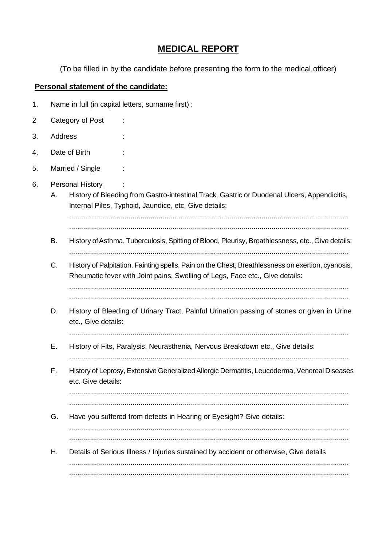## **MEDICAL REPORT**

(To be filled in by the candidate before presenting the form to the medical officer)

## **Personal statement of the candidate:**

- 1. Name in full (in capital letters, surname first) :
- 2 Category of Post :
- 3. Address :
- 4. Date of Birth :
- 5. Married / Single :
- 6. Personal History
	- A. History of Bleeding from Gastro-intestinal Track, Gastric or Duodenal Ulcers, Appendicitis, Internal Piles, Typhoid, Jaundice, etc, Give details:

.............................................................................................................................................

- .............................................................................................................................................
- B. History of Asthma, Tuberculosis, Spitting of Blood, Pleurisy, Breathlessness, etc., Give details: .............................................................................................................................................
- C. History of Palpitation. Fainting spells, Pain on the Chest, Breathlessness on exertion, cyanosis, Rheumatic fever with Joint pains, Swelling of Legs, Face etc., Give details:

.............................................................................................................................................

- D. History of Bleeding of Urinary Tract, Painful Urination passing of stones or given in Urine etc., Give details:
	- .............................................................................................................................................
- E. History of Fits, Paralysis, Neurasthenia, Nervous Breakdown etc., Give details: .............................................................................................................................................
- F. History of Leprosy, Extensive GeneralizedAllergic Dermatitis, Leucoderma, Venereal Diseases etc. Give details:

............................................................................................................................................. .............................................................................................................................................

G. Have you suffered from defects in Hearing or Eyesight? Give details:

............................................................................................................................................. .............................................................................................................................................

H. Details of Serious Illness / Injuries sustained by accident or otherwise, Give details ............................................................................................................................................. .............................................................................................................................................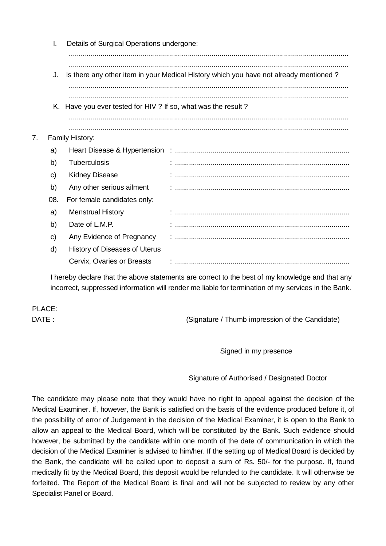|    | I.  | Details of Surgical Operations undergone:                      |                                                                                       |
|----|-----|----------------------------------------------------------------|---------------------------------------------------------------------------------------|
|    | J.  |                                                                | Is there any other item in your Medical History which you have not already mentioned? |
|    |     | K. Have you ever tested for HIV ? If so, what was the result ? |                                                                                       |
| 7. |     | Family History:                                                |                                                                                       |
|    | a)  |                                                                |                                                                                       |
|    | b)  | <b>Tuberculosis</b>                                            |                                                                                       |
|    | C)  | <b>Kidney Disease</b>                                          |                                                                                       |
|    | b)  | Any other serious ailment                                      |                                                                                       |
|    | 08. | For female candidates only:                                    |                                                                                       |
|    | a)  | <b>Menstrual History</b>                                       |                                                                                       |
|    | b)  | Date of L.M.P.                                                 |                                                                                       |
|    | C)  | Any Evidence of Pregnancy                                      |                                                                                       |
|    | d)  | History of Diseases of Uterus                                  |                                                                                       |
|    |     | Cervix, Ovaries or Breasts                                     |                                                                                       |

I hereby declare that the above statements are correct to the best of my knowledge and that any incorrect, suppressed information will render me liable for termination of my services in the Bank.

PLACE:

DATE : CONSERVITY (Signature / Thumb impression of the Candidate)

Signed in my presence

Signature of Authorised / Designated Doctor

The candidate may please note that they would have no right to appeal against the decision of the Medical Examiner. If, however, the Bank is satisfied on the basis of the evidence produced before it, of the possibility of error of Judgement in the decision of the Medical Examiner, it is open to the Bank to allow an appeal to the Medical Board, which will be constituted by the Bank. Such evidence should however, be submitted by the candidate within one month of the date of communication in which the decision of the Medical Examiner is advised to him/her. If the setting up of Medical Board is decided by the Bank, the candidate will be called upon to deposit a sum of Rs. 50/- for the purpose. If, found medically fit by the Medical Board, this deposit would be refunded to the candidate. It will otherwise be forfeited. The Report of the Medical Board is final and will not be subjected to review by any other Specialist Panel or Board.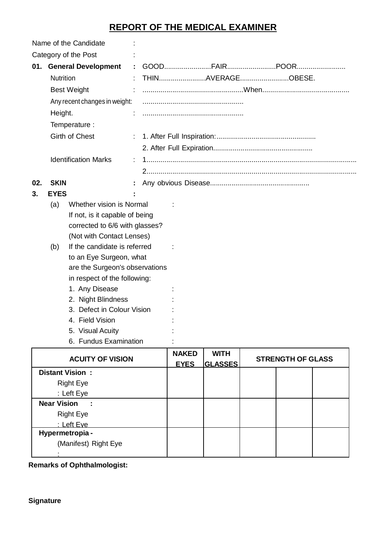## **REPORT OF THE MEDICAL EXAMINER**

| Name of the Candidate |                  |                                      |  |                             |                               |                          |  |
|-----------------------|------------------|--------------------------------------|--|-----------------------------|-------------------------------|--------------------------|--|
|                       |                  | Category of the Post                 |  |                             |                               |                          |  |
|                       |                  | 01. General Development              |  |                             |                               |                          |  |
|                       | <b>Nutrition</b> |                                      |  |                             | THINAVERAGEOBESE.             |                          |  |
|                       |                  | <b>Best Weight</b>                   |  |                             |                               |                          |  |
|                       |                  | Any recent changes in weight:        |  |                             |                               |                          |  |
|                       | Height.          |                                      |  |                             |                               |                          |  |
|                       |                  | Temperature :                        |  |                             |                               |                          |  |
|                       |                  | Girth of Chest                       |  |                             |                               |                          |  |
|                       |                  |                                      |  |                             |                               |                          |  |
|                       |                  | <b>Identification Marks</b>          |  |                             |                               |                          |  |
|                       |                  |                                      |  |                             |                               |                          |  |
| 02.                   | <b>SKIN</b>      |                                      |  |                             |                               |                          |  |
| 3.                    | <b>EYES</b>      |                                      |  |                             |                               |                          |  |
|                       | (a)              | Whether vision is Normal             |  |                             |                               |                          |  |
|                       |                  | If not, is it capable of being       |  |                             |                               |                          |  |
|                       |                  | corrected to 6/6 with glasses?       |  |                             |                               |                          |  |
|                       |                  | (Not with Contact Lenses)            |  |                             |                               |                          |  |
|                       | (b)              | If the candidate is referred         |  |                             |                               |                          |  |
|                       |                  | to an Eye Surgeon, what              |  |                             |                               |                          |  |
|                       |                  | are the Surgeon's observations       |  |                             |                               |                          |  |
|                       |                  | in respect of the following:         |  |                             |                               |                          |  |
|                       |                  | 1. Any Disease<br>2. Night Blindness |  |                             |                               |                          |  |
|                       |                  | 3. Defect in Colour Vision           |  |                             |                               |                          |  |
|                       |                  | 4. Field Vision                      |  |                             |                               |                          |  |
|                       |                  | 5. Visual Acuity                     |  |                             |                               |                          |  |
|                       |                  | 6. Fundus Examination                |  |                             |                               |                          |  |
|                       |                  | <b>ACUITY OF VISION</b>              |  | <b>NAKED</b><br><b>EYES</b> | <b>WITH</b><br><b>GLASSES</b> | <b>STRENGTH OF GLASS</b> |  |
|                       |                  | <b>Distant Vision:</b>               |  |                             |                               |                          |  |
|                       |                  | <b>Right Eye</b>                     |  |                             |                               |                          |  |

| Right Eye                       |  |  |  |
|---------------------------------|--|--|--|
| : Left Eye                      |  |  |  |
| <b>Near Vision</b><br>$\sim 10$ |  |  |  |
| <b>Right Eye</b>                |  |  |  |
| : Left Eve                      |  |  |  |
| Hypermetropia -                 |  |  |  |
| (Manifest) Right Eye            |  |  |  |
|                                 |  |  |  |

**Remarks of Ophthalmologist:**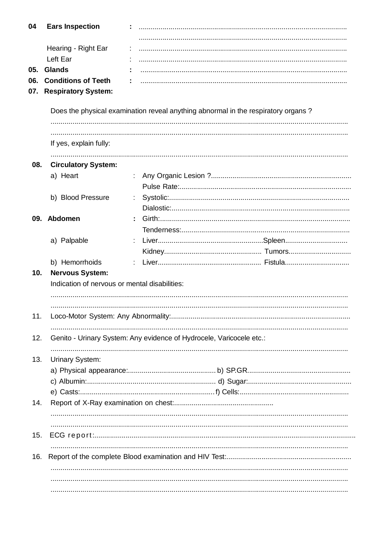| 04  | <b>Ears Inspection</b>                                                  |                                                                      |                                                                                   |
|-----|-------------------------------------------------------------------------|----------------------------------------------------------------------|-----------------------------------------------------------------------------------|
|     | Hearing - Right Ear                                                     |                                                                      |                                                                                   |
|     | Left Ear                                                                |                                                                      |                                                                                   |
| 05. | <b>Glands</b>                                                           |                                                                      |                                                                                   |
| 06. | <b>Conditions of Teeth</b>                                              |                                                                      |                                                                                   |
| 07. | <b>Respiratory System:</b>                                              |                                                                      |                                                                                   |
|     |                                                                         |                                                                      | Does the physical examination reveal anything abnormal in the respiratory organs? |
|     | If yes, explain fully:                                                  |                                                                      |                                                                                   |
| 08. | <b>Circulatory System:</b>                                              |                                                                      |                                                                                   |
|     | a) Heart                                                                |                                                                      |                                                                                   |
|     | b) Blood Pressure                                                       |                                                                      |                                                                                   |
|     |                                                                         |                                                                      |                                                                                   |
|     | 09. Abdomen                                                             |                                                                      |                                                                                   |
|     |                                                                         |                                                                      |                                                                                   |
|     | a) Palpable                                                             |                                                                      |                                                                                   |
|     |                                                                         |                                                                      |                                                                                   |
| 10. | b) Hemorrhoids                                                          |                                                                      |                                                                                   |
|     | <b>Nervous System:</b><br>Indication of nervous or mental disabilities: |                                                                      |                                                                                   |
|     |                                                                         |                                                                      |                                                                                   |
| 11. |                                                                         |                                                                      |                                                                                   |
|     |                                                                         |                                                                      |                                                                                   |
| 12. |                                                                         | Genito - Urinary System: Any evidence of Hydrocele, Varicocele etc.: |                                                                                   |
| 13. | Urinary System:                                                         |                                                                      |                                                                                   |
|     |                                                                         |                                                                      |                                                                                   |
|     |                                                                         |                                                                      |                                                                                   |
|     |                                                                         |                                                                      |                                                                                   |
| 14. |                                                                         |                                                                      |                                                                                   |
|     |                                                                         |                                                                      |                                                                                   |
| 15. |                                                                         |                                                                      |                                                                                   |
| 16. |                                                                         |                                                                      |                                                                                   |
|     |                                                                         |                                                                      |                                                                                   |
|     |                                                                         |                                                                      |                                                                                   |
|     |                                                                         |                                                                      |                                                                                   |